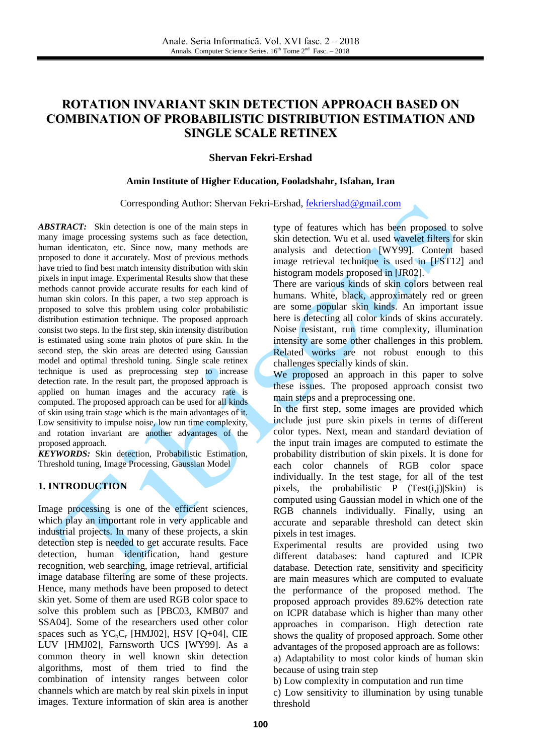# **ROTATION INVARIANT SKIN DETECTION APPROACH BASED ON COMBINATION OF PROBABILISTIC DISTRIBUTION ESTIMATION AND SINGLE SCALE RETINEX**

#### **Shervan Fekri-Ershad**

#### **Amin Institute of Higher Education, Fooladshahr, Isfahan, Iran**

#### Corresponding Author: Shervan Fekri-Ershad, [fekriershad@gmail.com](mailto:fekriershad@gmail.com)

*ABSTRACT:* Skin detection is one of the main steps in many image processing systems such as face detection, human identicaton, etc. Since now, many methods are proposed to done it accurately. Most of previous methods have tried to find best match intensity distribution with skin pixels in input image. Experimental Results show that these methods cannot provide accurate results for each kind of human skin colors. In this paper, a two step approach is proposed to solve this problem using color probabilistic distribution estimation technique. The proposed approach consist two steps. In the first step, skin intensity distribution is estimated using some train photos of pure skin. In the second step, the skin areas are detected using Gaussian model and optimal threshold tuning. Single scale retinex technique is used as preprocessing step to increase detection rate. In the result part, the proposed approach is applied on human images and the accuracy rate is computed. The proposed approach can be used for all kinds of skin using train stage which is the main advantages of it. Low sensitivity to impulse noise, low run time complexity, and rotation invariant are another advantages of the proposed approach.

*KEYWORDS:* Skin detection, Probabilistic Estimation, Threshold tuning, Image Processing, Gaussian Model

### **1. INTRODUCTION**

Image processing is one of the efficient sciences, which play an important role in very applicable and industrial projects. In many of these projects, a skin detection step is needed to get accurate results. Face detection, human identification, hand gesture recognition, web searching, image retrieval, artificial image database filtering are some of these projects. Hence, many methods have been proposed to detect skin yet. Some of them are used RGB color space to solve this problem such as [PBC03, KMB07 and SSA04]. Some of the researchers used other color spaces such as  $YC<sub>b</sub>C<sub>r</sub>$  [HMJ02], HSV [O+04], CIE LUV [HMJ02], Farnsworth UCS [WY99]. As a common theory in well known skin detection algorithms, most of them tried to find the combination of intensity ranges between color channels which are match by real skin pixels in input images. Texture information of skin area is another type of features which has been proposed to solve skin detection. Wu et al. used wavelet filters for skin analysis and detection [WY99]. Content based image retrieval technique is used in [FST12] and histogram models proposed in [JR02].

There are various kinds of skin colors between real humans. White, black, approximately red or green are some popular skin kinds. An important issue here is detecting all color kinds of skins accurately. Noise resistant, run time complexity, illumination intensity are some other challenges in this problem. Related works are not robust enough to this challenges specially kinds of skin.

We proposed an approach in this paper to solve these issues. The proposed approach consist two main steps and a preprocessing one.

In the first step, some images are provided which include just pure skin pixels in terms of different color types. Next, mean and standard deviation of the input train images are computed to estimate the probability distribution of skin pixels. It is done for each color channels of RGB color space individually. In the test stage, for all of the test pixels, the probabilistic  $P$  (Test(i,j)|Skin) is computed using Gaussian model in which one of the RGB channels individually. Finally, using an accurate and separable threshold can detect skin pixels in test images.

Experimental results are provided using two different databases: hand captured and ICPR database. Detection rate, sensitivity and specificity are main measures which are computed to evaluate the performance of the proposed method. The proposed approach provides 89.62% detection rate on ICPR database which is higher than many other approaches in comparison. High detection rate shows the quality of proposed approach. Some other advantages of the proposed approach are as follows: a) Adaptability to most color kinds of human skin

because of using train step

b) Low complexity in computation and run time c) Low sensitivity to illumination by using tunable threshold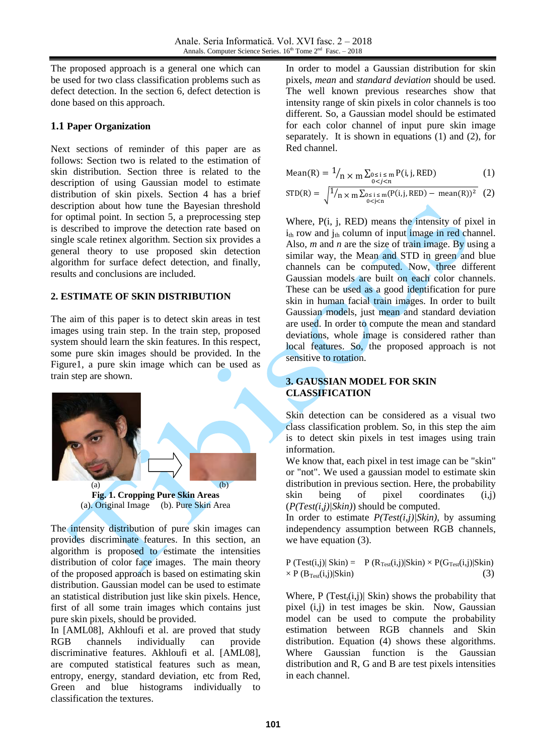The proposed approach is a general one which can be used for two class classification problems such as defect detection. In the section 6, defect detection is done based on this approach.

## **1.1 Paper Organization**

Next sections of reminder of this paper are as follows: Section two is related to the estimation of skin distribution. Section three is related to the description of using Gaussian model to estimate distribution of skin pixels. Section 4 has a brief description about how tune the Bayesian threshold for optimal point. In section 5, a preprocessing step is described to improve the detection rate based on single scale retinex algorithm. Section six provides a general theory to use proposed skin detection algorithm for surface defect detection, and finally, results and conclusions are included.

## **2. ESTIMATE OF SKIN DISTRIBUTION**

The aim of this paper is to detect skin areas in test images using train step. In the train step, proposed system should learn the skin features. In this respect, some pure skin images should be provided. In the Figure1, a pure skin image which can be used as train step are shown.



**Fig. 1. Cropping Pure Skin Areas** (a). Original Image (b). Pure Skin Area

The intensity distribution of pure skin images can provides discriminate features. In this section, an algorithm is proposed to estimate the intensities distribution of color face images. The main theory of the proposed approach is based on estimating skin distribution. Gaussian model can be used to estimate an statistical distribution just like skin pixels. Hence, first of all some train images which contains just pure skin pixels, should be provided.

In [AML08], Akhloufi et al. are proved that study RGB channels individually can provide discriminative features. Akhloufi et al. [AML08], are computed statistical features such as mean, entropy, energy, standard deviation, etc from Red, Green and blue histograms individually to classification the textures.

In order to model a Gaussian distribution for skin pixels, *mean* and *standard deviation* should be used. The well known previous researches show that intensity range of skin pixels in color channels is too different. So, a Gaussian model should be estimated for each color channel of input pure skin image separately. It is shown in equations (1) and (2), for Red channel.

Mean(R) = 
$$
1/_{n \times m} \sum_{0 \le i \le m} P(i, j, RED)
$$
 (1)

$$
STD(R) = \sqrt{\frac{1}{n \times m} \sum_{\substack{0 \le i \le m \\ 0 < j < n}} (P(i, j, RED) - \text{mean}(R))^2} \tag{2}
$$

Where, P(i, j, RED) means the intensity of pixel in  $i_{th}$  row and  $j_{th}$  column of input image in red channel. Also, *m* and *n* are the size of train image. By using a similar way, the Mean and STD in green and blue channels can be computed. Now, three different Gaussian models are built on each color channels. These can be used as a good identification for pure skin in human facial train images. In order to built Gaussian models, just mean and standard deviation are used. In order to compute the mean and standard deviations, whole image is considered rather than local features. So, the proposed approach is not sensitive to rotation.

## **3. GAUSSIAN MODEL FOR SKIN CLASSIFICATION**

Skin detection can be considered as a visual two class classification problem. So, in this step the aim is to detect skin pixels in test images using train information.

We know that, each pixel in test image can be "skin" or "not". We used a gaussian model to estimate skin distribution in previous section. Here, the probability skin being of pixel coordinates (i,j) (*P(Test(i,j)|Skin)*) should be computed.

In order to estimate *P(Test(i,j)|Skin)*, by assuming independency assumption between RGB channels, we have equation (3).

$$
P (Test(i,j)|\nSkin) = P (R_{Test}(i,j)|\nSkin) \times P(G_{Test}(i,j)|\nSkin) \times P(B_{Test}(i,j)|\nSkin) \tag{3}
$$

Where, P  $(Test_i(i,j))$  Skin) shows the probability that pixel (i,j) in test images be skin. Now, Gaussian model can be used to compute the probability estimation between RGB channels and Skin distribution. Equation (4) shows these algorithms. Where Gaussian function is the Gaussian distribution and R, G and B are test pixels intensities in each channel.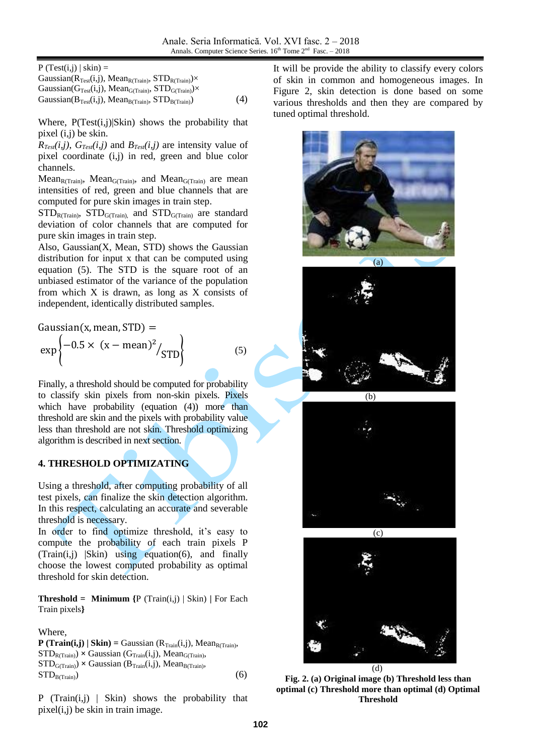$P$  (Test(i,j) | skin) =

Gaussian( $R_{Test}(i,j)$ , Mean<sub>R(Train)</sub>, STD<sub>R(Train)</sub>) $\times$ Gaussian( $G_{Test}(i,j)$ , Mean<sub>G(Train)</sub>,  $STD_{G(Train)}$ )× Gaussian( $B_{Test}(i,j)$ , Mean<sub>B(Train)</sub>, STD<sub>B(Train)</sub> (4)

Where,  $P(Test(i,j)|Skin)$  shows the probability that pixel (i,j) be skin.

 $R_{Test}(i,j)$ ,  $G_{Test}(i,j)$  and  $B_{Test}(i,j)$  are intensity value of pixel coordinate (i,j) in red, green and blue color channels.

Mean $_{R(Train)}$ , Mean $_{G(Train)}$ , and Mean $_{G(Train)}$  are mean intensities of red, green and blue channels that are computed for pure skin images in train step.

 $STD_{R(Train)}$ ,  $STD_{G(Train)}$ , and  $STD_{G(Train)}$  are standard deviation of color channels that are computed for pure skin images in train step.

Also, Gaussian(X, Mean, STD) shows the Gaussian distribution for input x that can be computed using equation (5). The STD is the square root of an unbiased estimator of the variance of the population from which X is drawn, as long as X consists of independent, identically distributed samples.

Gaussian(x, mean, STD) =  
\n
$$
\exp \left\{-0.5 \times (x - \text{mean})^2 / \text{STD}\right\}
$$
\n(5)

Finally, a threshold should be computed for probability to classify skin pixels from non-skin pixels. Pixels which have probability (equation (4)) more than threshold are skin and the pixels with probability value less than threshold are not skin. Threshold optimizing algorithm is described in next section.

## **4. THRESHOLD OPTIMIZATING**

Using a threshold, after computing probability of all test pixels, can finalize the skin detection algorithm. In this respect, calculating an accurate and severable threshold is necessary.

In order to find optimize threshold, it's easy to compute the probability of each train pixels P  $(Train(i,j)$   $|Skin)$  using equation(6), and finally choose the lowest computed probability as optimal threshold for skin detection.

**Threshold = Minimum**  $\{P(Train(i,j) | Skin) | For Each\}$ Train pixels**}**

### Where,

**P** (Train(i,j) | Skin) = Gaussian ( $R_{Train}(i,j)$ , Mean<sub>R(Train)</sub>,  $STD_{\text{R(Train)}} \times Gaussian(G_{\text{Train}}(i,j), Mean_{\text{G(Train)}})$  $STD_{G(Train)} \times Gaussian(B_{Train}(i,j))$ , Mean<sub>B(Train)</sub>,  $STD_{\text{B(Train)}}$  (6)

P (Train(i,j) | Skin) shows the probability that pixel(i,j) be skin in train image.

It will be provide the ability to classify every colors of skin in common and homogeneous images. In Figure 2, skin detection is done based on some various thresholds and then they are compared by tuned optimal threshold.







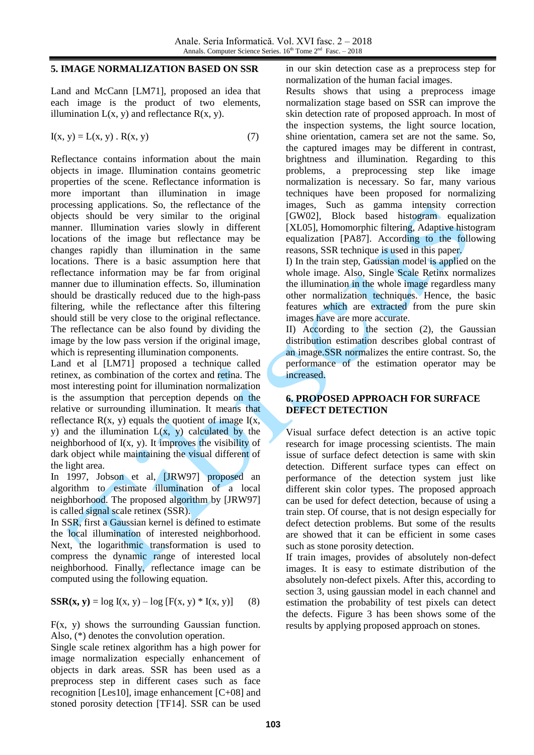#### **5. IMAGE NORMALIZATION BASED ON SSR**

Land and McCann [LM71], proposed an idea that each image is the product of two elements, illumination  $L(x, y)$  and reflectance  $R(x, y)$ .

$$
I(x, y) = L(x, y) . R(x, y)
$$
 (7)

Reflectance contains information about the main objects in image. Illumination contains geometric properties of the scene. Reflectance information is more important than illumination in image processing applications. So, the reflectance of the objects should be very similar to the original manner. Illumination varies slowly in different locations of the image but reflectance may be changes rapidly than illumination in the same locations. There is a basic assumption here that reflectance information may be far from original manner due to illumination effects. So, illumination should be drastically reduced due to the high-pass filtering, while the reflectance after this filtering should still be very close to the original reflectance. The reflectance can be also found by dividing the image by the low pass version if the original image, which is representing illumination components.

Land et al [LM71] proposed a technique called retinex, as combination of the cortex and retina. The most interesting point for illumination normalization is the assumption that perception depends on the relative or surrounding illumination. It means that reflectance  $R(x, y)$  equals the quotient of image  $I(x, y)$ y) and the illumination  $L(x, y)$  calculated by the neighborhood of I(x, y). It improves the visibility of dark object while maintaining the visual different of the light area.

In 1997, Jobson et al, [JRW97] proposed an algorithm to estimate illumination of a local neighborhood. The proposed algorithm by [JRW97] is called signal scale retinex (SSR).

In SSR, first a Gaussian kernel is defined to estimate the local illumination of interested neighborhood. Next, the logarithmic transformation is used to compress the dynamic range of interested local neighborhood. Finally, reflectance image can be computed using the following equation.

**SSR(x, y)** =  $\log I(x, y) - \log [F(x, y) * I(x, y)]$  (8)

F(x, y) shows the surrounding Gaussian function. Also, (\*) denotes the convolution operation.

Single scale retinex algorithm has a high power for image normalization especially enhancement of objects in dark areas. SSR has been used as a preprocess step in different cases such as face recognition [Les10], image enhancement [C+08] and stoned porosity detection [TF14]. SSR can be used in our skin detection case as a preprocess step for normalization of the human facial images.

Results shows that using a preprocess image normalization stage based on SSR can improve the skin detection rate of proposed approach. In most of the inspection systems, the light source location, shine orientation, camera set are not the same. So, the captured images may be different in contrast, brightness and illumination. Regarding to this problems, a preprocessing step like image normalization is necessary. So far, many various techniques have been proposed for normalizing images, Such as gamma intensity correction [GW02], Block based histogram equalization [XL05], Homomorphic filtering, Adaptive histogram equalization [PA87]. According to the following reasons, SSR technique is used in this paper.

I) In the train step, Gaussian model is applied on the whole image. Also, Single Scale Retinx normalizes the illumination in the whole image regardless many other normalization techniques. Hence, the basic features which are extracted from the pure skin images have are more accurate.

II) According to the section (2), the Gaussian distribution estimation describes global contrast of an image.SSR normalizes the entire contrast. So, the performance of the estimation operator may be increased.

### **6. PROPOSED APPROACH FOR SURFACE DEFECT DETECTION**

Visual surface defect detection is an active topic research for image processing scientists. The main issue of surface defect detection is same with skin detection. Different surface types can effect on performance of the detection system just like different skin color types. The proposed approach can be used for defect detection, because of using a train step. Of course, that is not design especially for defect detection problems. But some of the results are showed that it can be efficient in some cases such as stone porosity detection.

If train images, provides of absolutely non-defect images. It is easy to estimate distribution of the absolutely non-defect pixels. After this, according to section 3, using gaussian model in each channel and estimation the probability of test pixels can detect the defects. Figure 3 has been shows some of the results by applying proposed approach on stones.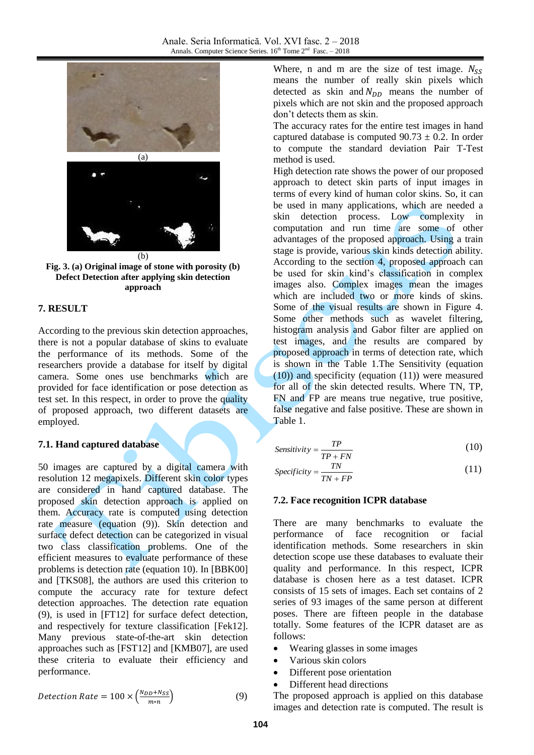



## **7. RESULT**

According to the previous skin detection approaches, there is not a popular database of skins to evaluate the performance of its methods. Some of the researchers provide a database for itself by digital camera. Some ones use benchmarks which are provided for face identification or pose detection as test set. In this respect, in order to prove the quality of proposed approach, two different datasets are employed.

## **7.1. Hand captured database**

50 images are captured by a digital camera with resolution 12 megapixels. Different skin color types are considered in hand captured database. The proposed skin detection approach is applied on them. Accuracy rate is computed using detection rate measure (equation (9)). Skin detection and surface defect detection can be categorized in visual two class classification problems. One of the efficient measures to evaluate performance of these problems is detection rate (equation 10). In [BBK00] and [TKS08], the authors are used this criterion to compute the accuracy rate for texture defect detection approaches. The detection rate equation (9), is used in [FT12] for surface defect detection, and respectively for texture classification [Fek12]. Many previous state-of-the-art skin detection approaches such as [FST12] and [KMB07], are used these criteria to evaluate their efficiency and performance.

$$
Detection Rate = 100 \times \left(\frac{N_{DD} + N_{SS}}{m*n}\right) \tag{9}
$$

Where, n and m are the size of test image.  $N_{SS}$ means the number of really skin pixels which detected as skin and  $N_{DD}$  means the number of pixels which are not skin and the proposed approach don't detects them as skin.

The accuracy rates for the entire test images in hand captured database is computed  $90.73 \pm 0.2$ . In order to compute the standard deviation Pair T-Test method is used.

High detection rate shows the power of our proposed approach to detect skin parts of input images in terms of every kind of human color skins. So, it can be used in many applications, which are needed a skin detection process. Low complexity in computation and run time are some of other advantages of the proposed approach. Using a train stage is provide, various skin kinds detection ability. According to the section 4, proposed approach can be used for skin kind's classification in complex images also. Complex images mean the images which are included two or more kinds of skins. Some of the visual results are shown in Figure 4. Some other methods such as wavelet filtering, histogram analysis and Gabor filter are applied on test images, and the results are compared by proposed approach in terms of detection rate, which is shown in the Table 1.The Sensitivity (equation (10)) and specificity (equation (11)) were measured for all of the skin detected results. Where TN, TP, FN and FP are means true negative, true positive, false negative and false positive. These are shown in Table 1.

$$
Sensitivity = \frac{TP}{TP + FN}
$$
 (10)

$$
Specificity = \frac{TN}{TN + FP}
$$
 (11)

## **7.2. Face recognition ICPR database**

There are many benchmarks to evaluate the performance of face recognition or facial identification methods. Some researchers in skin detection scope use these databases to evaluate their quality and performance. In this respect, ICPR database is chosen here as a test dataset. ICPR consists of 15 sets of images. Each set contains of 2 series of 93 images of the same person at different poses. There are fifteen people in the database totally. Some features of the ICPR dataset are as follows:

- Wearing glasses in some images
- Various skin colors
- Different pose orientation
- Different head directions

The proposed approach is applied on this database images and detection rate is computed. The result is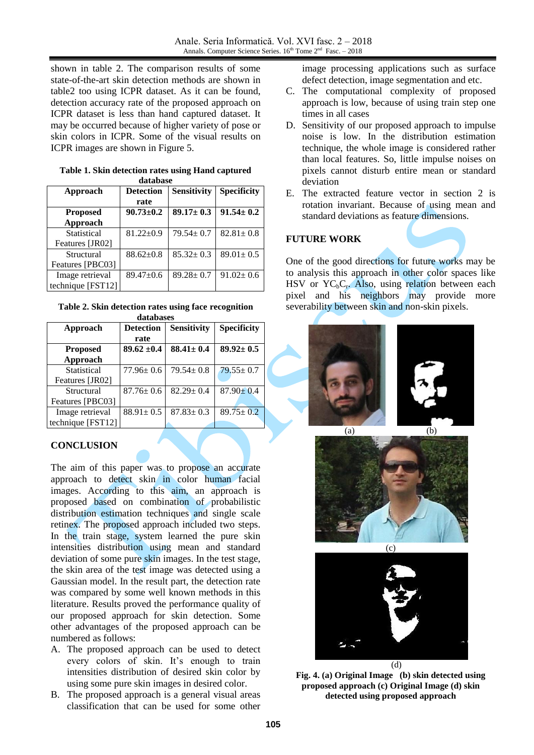shown in table 2. The comparison results of some state-of-the-art skin detection methods are shown in table2 too using ICPR dataset. As it can be found, detection accuracy rate of the proposed approach on ICPR dataset is less than hand captured dataset. It may be occurred because of higher variety of pose or skin colors in ICPR. Some of the visual results on ICPR images are shown in Figure 5.

| database          |                  |                    |                    |  |
|-------------------|------------------|--------------------|--------------------|--|
| Approach          | <b>Detection</b> | <b>Sensitivity</b> | <b>Specificity</b> |  |
|                   | rate             |                    |                    |  |
| <b>Proposed</b>   | $90.73 \pm 0.2$  | $89.17 \pm 0.3$    | $91.54 \pm 0.2$    |  |
| Approach          |                  |                    |                    |  |
| Statistical       | $81.22 \pm 0.9$  | $79.54 \pm 0.7$    | $82.81 \pm 0.8$    |  |
| Features [JR02]   |                  |                    |                    |  |
| Structural        | $88.62 \pm 0.8$  | $85.32 \pm 0.3$    | $89.01 \pm 0.5$    |  |
| Features [PBC03]  |                  |                    |                    |  |
| Image retrieval   | $89.47 \pm 0.6$  | $89.28 \pm 0.7$    | $91.02 \pm 0.6$    |  |
| technique [FST12] |                  |                    |                    |  |

**Table 1. Skin detection rates using Hand captured database**

| Table 2. Skin detection rates using face recognition |  |  |  |  |
|------------------------------------------------------|--|--|--|--|
| databases                                            |  |  |  |  |

| <b>Detection</b><br>rate | <b>Sensitivity</b> | <b>Specificity</b> |
|--------------------------|--------------------|--------------------|
|                          |                    |                    |
|                          |                    |                    |
| $89.62 \pm 0.4$          | $88.41 \pm 0.4$    | $89.92 \pm 0.5$    |
|                          |                    |                    |
| $77.96 \pm 0.6$          | $79.54 \pm 0.8$    | $79.55 \pm 0.7$    |
|                          |                    |                    |
| $87.76 \pm 0.6$          | $82.29 \pm 0.4$    | $87.90 \pm 0.4$    |
|                          |                    |                    |
| $88.91 \pm 0.5$          | $87.83 \pm 0.3$    | $89.75 \pm 0.2$    |
|                          |                    |                    |
|                          |                    |                    |

## **CONCLUSION**

The aim of this paper was to propose an accurate approach to detect skin in color human facial images. According to this aim, an approach is proposed based on combination of probabilistic distribution estimation techniques and single scale retinex. The proposed approach included two steps. In the train stage, system learned the pure skin intensities distribution using mean and standard deviation of some pure skin images. In the test stage, the skin area of the test image was detected using a Gaussian model. In the result part, the detection rate was compared by some well known methods in this literature. Results proved the performance quality of our proposed approach for skin detection. Some other advantages of the proposed approach can be numbered as follows:

- A. The proposed approach can be used to detect every colors of skin. It's enough to train intensities distribution of desired skin color by using some pure skin images in desired color.
- B. The proposed approach is a general visual areas classification that can be used for some other

image processing applications such as surface defect detection, image segmentation and etc.

- C. The computational complexity of proposed approach is low, because of using train step one times in all cases
- D. Sensitivity of our proposed approach to impulse noise is low. In the distribution estimation technique, the whole image is considered rather than local features. So, little impulse noises on pixels cannot disturb entire mean or standard deviation
- E. The extracted feature vector in section 2 is rotation invariant. Because of using mean and standard deviations as feature dimensions.

## **FUTURE WORK**

One of the good directions for future works may be to analysis this approach in other color spaces like HSV or  $YC_bC_r$ . Also, using relation between each pixel and his neighbors may provide more severability between skin and non-skin pixels.







**Fig. 4. (a) Original Image (b) skin detected using proposed approach (c) Original Image (d) skin detected using proposed approach**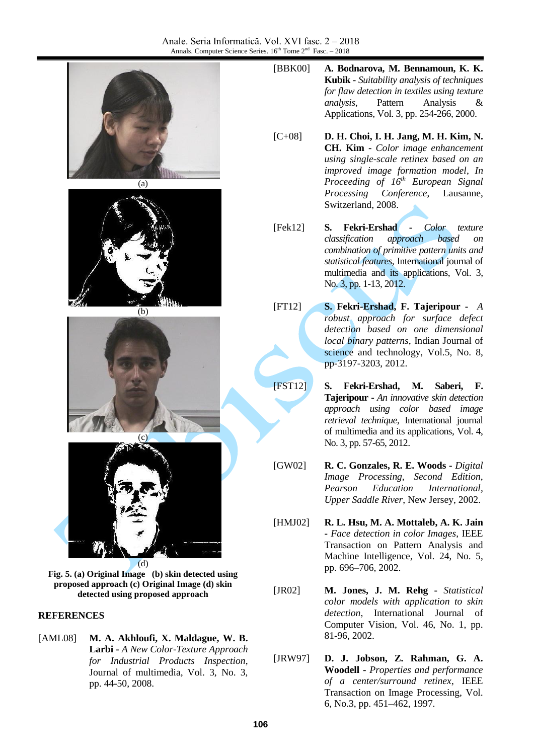

**Fig. 5. (a) Original Image (b) skin detected using proposed approach (c) Original Image (d) skin detected using proposed approach**

### **REFERENCES**

[AML08] **M. A. Akhloufi, X. Maldague, W. B. Larbi -** *A New Color-Texture Approach for Industrial Products Inspection*, Journal of multimedia, Vol. 3, No. 3, pp. 44-50, 2008.

- [BBK00] **A. Bodnarova, M. Bennamoun, K. K. Kubik -** *Suitability analysis of techniques for flaw detection in textiles using texture analysis*, Pattern Analysis & Applications, Vol. 3, pp. 254-266, 2000.
- [C+08] **D. H. Choi, I. H. Jang, M. H. Kim, N. CH. Kim -** *Color image enhancement using single-scale retinex based on an improved image formation model*, *In Proceeding of 16th European Signal Processing Conference*, Lausanne, Switzerland, 2008.
- [Fek12] **S. Fekri-Ershad -** *Color texture classification approach based on combination of primitive pattern units and statistical features*, International journal of multimedia and its applications, Vol. 3, No. 3, pp. 1-13, 2012.
- [FT12] **S. Fekri-Ershad, F. Tajeripour -** *A robust approach for surface defect detection based on one dimensional local binary patterns*, Indian Journal of science and technology, Vol.5, No. 8, pp-3197-3203, 2012.
- [FST12] **S. Fekri-Ershad, M. Saberi, F. Tajeripour -** *An innovative skin detection approach using color based image retrieval technique*, International journal of multimedia and its applications, Vol. 4, No. 3, pp. 57-65, 2012.
- [GW02] **R. C. Gonzales, R. E. Woods -** *Digital Image Processing, Second Edition*, *Pearson Education International, Upper Saddle River*, New Jersey, 2002.
- [HMJ02] **R. L. Hsu, M. A. Mottaleb, A. K. Jain -** *Face detection in color Images*, IEEE Transaction on Pattern Analysis and Machine Intelligence, Vol. 24, No. 5, pp. 696–706, 2002.
- [JR02] **M. Jones, J. M. Rehg -** *Statistical color models with application to skin detection*, International Journal of Computer Vision, Vol. 46, No. 1, pp. 81-96, 2002.
- [JRW97] **D. J. Jobson, Z. Rahman, G. A. Woodell -** *Properties and performance of a center/surround retinex*, IEEE Transaction on Image Processing, Vol. 6, No.3, pp. 451–462, 1997.